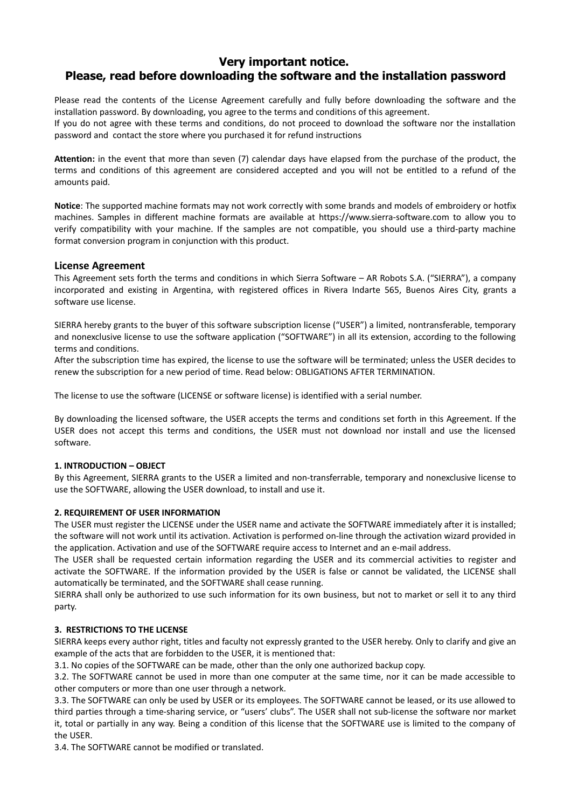# **Very important notice. Please, read before downloading the software and the installation password**

Please read the contents of the License Agreement carefully and fully before downloading the software and the installation password. By downloading, you agree to the terms and conditions of this agreement.

If you do not agree with these terms and conditions, do not proceed to download the software nor the installation password and contact the store where you purchased it for refund instructions

**Attention:** in the event that more than seven (7) calendar days have elapsed from the purchase of the product, the terms and conditions of this agreement are considered accepted and you will not be entitled to a refund of the amounts paid.

**Notice**: The supported machine formats may not work correctly with some brands and models of embroidery or hotfix machines. Samples in different machine formats are available at https://www.sierra-software.com to allow you to verify compatibility with your machine. If the samples are not compatible, you should use a third-party machine format conversion program in conjunction with this product.

# **License Agreement**

This Agreement sets forth the terms and conditions in which Sierra Software – AR Robots S.A. ("SIERRA"), a company incorporated and existing in Argentina, with registered offices in Rivera Indarte 565, Buenos Aires City, grants a software use license.

SIERRA hereby grants to the buyer of this software subscription license ("USER") a limited, nontransferable, temporary and nonexclusive license to use the software application ("SOFTWARE") in all its extension, according to the following terms and conditions.

After the subscription time has expired, the license to use the software will be terminated; unless the USER decides to renew the subscription for a new period of time. Read below: OBLIGATIONS AFTER TERMINATION.

The license to use the software (LICENSE or software license) is identified with a serial number.

By downloading the licensed software, the USER accepts the terms and conditions set forth in this Agreement. If the USER does not accept this terms and conditions, the USER must not download nor install and use the licensed software.

# **1. INTRODUCTION – OBJECT**

By this Agreement, SIERRA grants to the USER a limited and non-transferrable, temporary and nonexclusive license to use the SOFTWARE, allowing the USER download, to install and use it.

# **2. REQUIREMENT OF USER INFORMATION**

The USER must register the LICENSE under the USER name and activate the SOFTWARE immediately after it is installed; the software will not work until its activation. Activation is performed on-line through the activation wizard provided in the application. Activation and use of the SOFTWARE require access to Internet and an e-mail address.

The USER shall be requested certain information regarding the USER and its commercial activities to register and activate the SOFTWARE. If the information provided by the USER is false or cannot be validated, the LICENSE shall automatically be terminated, and the SOFTWARE shall cease running.

SIERRA shall only be authorized to use such information for its own business, but not to market or sell it to any third party.

# **3. RESTRICTIONS TO THE LICENSE**

SIERRA keeps every author right, titles and faculty not expressly granted to the USER hereby. Only to clarify and give an example of the acts that are forbidden to the USER, it is mentioned that:

3.1. No copies of the SOFTWARE can be made, other than the only one authorized backup copy.

3.2. The SOFTWARE cannot be used in more than one computer at the same time, nor it can be made accessible to other computers or more than one user through a network.

3.3. The SOFTWARE can only be used by USER or its employees. The SOFTWARE cannot be leased, or its use allowed to third parties through a time-sharing service, or "users' clubs". The USER shall not sub-license the software nor market it, total or partially in any way. Being a condition of this license that the SOFTWARE use is limited to the company of the USER.

3.4. The SOFTWARE cannot be modified or translated.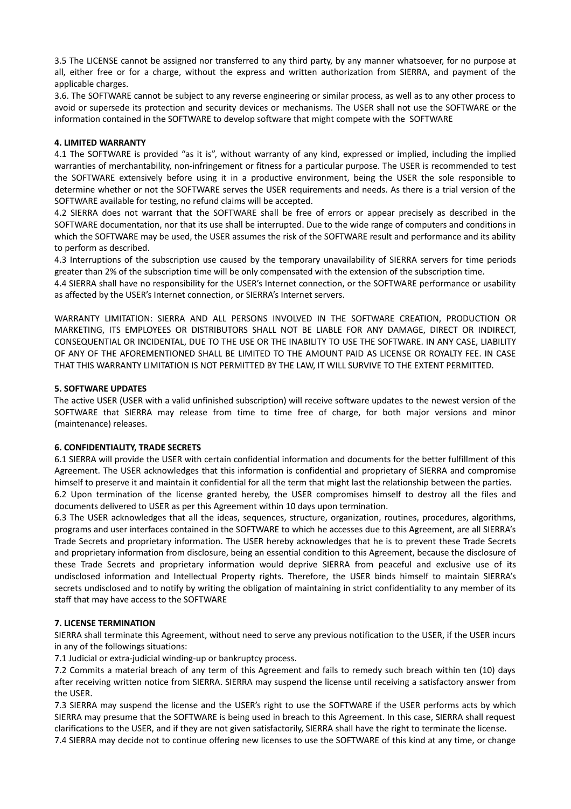3.5 The LICENSE cannot be assigned nor transferred to any third party, by any manner whatsoever, for no purpose at all, either free or for a charge, without the express and written authorization from SIERRA, and payment of the applicable charges.

3.6. The SOFTWARE cannot be subject to any reverse engineering or similar process, as well as to any other process to avoid or supersede its protection and security devices or mechanisms. The USER shall not use the SOFTWARE or the information contained in the SOFTWARE to develop software that might compete with the SOFTWARE

### **4. LIMITED WARRANTY**

4.1 The SOFTWARE is provided "as it is", without warranty of any kind, expressed or implied, including the implied warranties of merchantability, non-infringement or fitness for a particular purpose. The USER is recommended to test the SOFTWARE extensively before using it in a productive environment, being the USER the sole responsible to determine whether or not the SOFTWARE serves the USER requirements and needs. As there is a trial version of the SOFTWARE available for testing, no refund claims will be accepted.

4.2 SIERRA does not warrant that the SOFTWARE shall be free of errors or appear precisely as described in the SOFTWARE documentation, nor that its use shall be interrupted. Due to the wide range of computers and conditions in which the SOFTWARE may be used, the USER assumes the risk of the SOFTWARE result and performance and its ability to perform as described.

4.3 Interruptions of the subscription use caused by the temporary unavailability of SIERRA servers for time periods greater than 2% of the subscription time will be only compensated with the extension of the subscription time.

4.4 SIERRA shall have no responsibility for the USER's Internet connection, or the SOFTWARE performance or usability as affected by the USER's Internet connection, or SIERRA's Internet servers.

WARRANTY LIMITATION: SIERRA AND ALL PERSONS INVOLVED IN THE SOFTWARE CREATION, PRODUCTION OR MARKETING, ITS EMPLOYEES OR DISTRIBUTORS SHALL NOT BE LIABLE FOR ANY DAMAGE, DIRECT OR INDIRECT, CONSEQUENTIAL OR INCIDENTAL, DUE TO THE USE OR THE INABILITY TO USE THE SOFTWARE. IN ANY CASE, LIABILITY OF ANY OF THE AFOREMENTIONED SHALL BE LIMITED TO THE AMOUNT PAID AS LICENSE OR ROYALTY FEE. IN CASE THAT THIS WARRANTY LIMITATION IS NOT PERMITTED BY THE LAW, IT WILL SURVIVE TO THE EXTENT PERMITTED.

#### **5. SOFTWARE UPDATES**

The active USER (USER with a valid unfinished subscription) will receive software updates to the newest version of the SOFTWARE that SIERRA may release from time to time free of charge, for both major versions and minor (maintenance) releases.

#### **6. CONFIDENTIALITY, TRADE SECRETS**

6.1 SIERRA will provide the USER with certain confidential information and documents for the better fulfillment of this Agreement. The USER acknowledges that this information is confidential and proprietary of SIERRA and compromise himself to preserve it and maintain it confidential for all the term that might last the relationship between the parties.

6.2 Upon termination of the license granted hereby, the USER compromises himself to destroy all the files and documents delivered to USER as per this Agreement within 10 days upon termination.

6.3 The USER acknowledges that all the ideas, sequences, structure, organization, routines, procedures, algorithms, programs and user interfaces contained in the SOFTWARE to which he accesses due to this Agreement, are all SIERRA's Trade Secrets and proprietary information. The USER hereby acknowledges that he is to prevent these Trade Secrets and proprietary information from disclosure, being an essential condition to this Agreement, because the disclosure of these Trade Secrets and proprietary information would deprive SIERRA from peaceful and exclusive use of its undisclosed information and Intellectual Property rights. Therefore, the USER binds himself to maintain SIERRA's secrets undisclosed and to notify by writing the obligation of maintaining in strict confidentiality to any member of its staff that may have access to the SOFTWARE

# **7. LICENSE TERMINATION**

SIERRA shall terminate this Agreement, without need to serve any previous notification to the USER, if the USER incurs in any of the followings situations:

7.1 Judicial or extra-judicial winding-up or bankruptcy process.

7.2 Commits a material breach of any term of this Agreement and fails to remedy such breach within ten (10) days after receiving written notice from SIERRA. SIERRA may suspend the license until receiving a satisfactory answer from the USER.

7.3 SIERRA may suspend the license and the USER's right to use the SOFTWARE if the USER performs acts by which SIERRA may presume that the SOFTWARE is being used in breach to this Agreement. In this case, SIERRA shall request clarifications to the USER, and if they are not given satisfactorily, SIERRA shall have the right to terminate the license.

7.4 SIERRA may decide not to continue offering new licenses to use the SOFTWARE of this kind at any time, or change